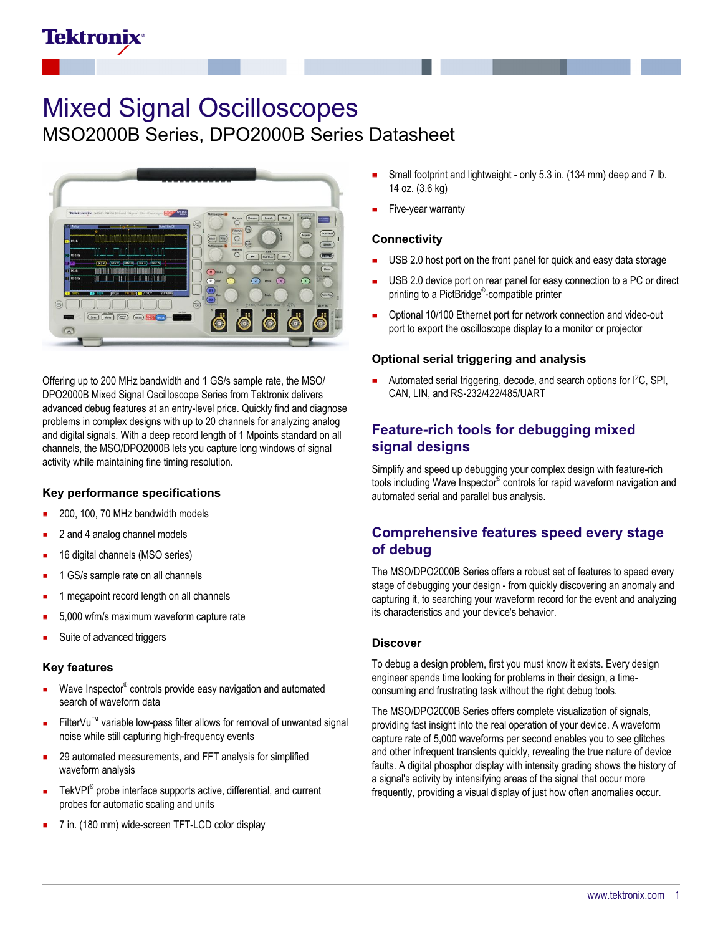## Tektronix

# Mixed Signal Oscilloscopes

MSO2000B Series, DPO2000B Series Datasheet



Offering up to 200 MHz bandwidth and 1 GS/s sample rate, the MSO/ DPO2000B Mixed Signal Oscilloscope Series from Tektronix delivers advanced debug features at an entry-level price. Quickly find and diagnose problems in complex designs with up to 20 channels for analyzing analog and digital signals. With a deep record length of 1 Mpoints standard on all channels, the MSO/DPO2000B lets you capture long windows of signal activity while maintaining fine timing resolution.

#### **Key performance specifications**

- 200, 100, 70 MHz bandwidth models
- 2 and 4 analog channel models
- 16 digital channels (MSO series)
- 1 GS/s sample rate on all channels
- 1 megapoint record length on all channels
- 5,000 wfm/s maximum waveform capture rate
- Suite of advanced triggers

#### **Key features**

- Wave Inspector® controls provide easy navigation and automated search of waveform data
- FilterVu™ variable low-pass filter allows for removal of unwanted signal noise while still capturing high-frequency events
- 29 automated measurements, and FFT analysis for simplified waveform analysis
- TekVPI<sup>®</sup> probe interface supports active, differential, and current ň probes for automatic scaling and units
- 7 in. (180 mm) wide-screen TFT-LCD color display
- Small footprint and lightweight only 5.3 in. (134 mm) deep and 7 lb. 14 oz. (3.6 kg)
- Five-year warranty

#### **Connectivity**

- USB 2.0 host port on the front panel for quick and easy data storage
- USB 2.0 device port on rear panel for easy connection to a PC or direct printing to a PictBridge® -compatible printer
- Optional 10/100 Ethernet port for network connection and video-out port to export the oscilloscope display to a monitor or projector

#### **Optional serial triggering and analysis**

Automated serial triggering, decode, and search options for I<sup>2</sup>C, SPI, CAN, LIN, and RS-232/422/485/UART

## **Feature-rich tools for debugging mixed signal designs**

Simplify and speed up debugging your complex design with feature-rich tools including Wave Inspector® controls for rapid waveform navigation and automated serial and parallel bus analysis.

## **Comprehensive features speed every stage of debug**

The MSO/DPO2000B Series offers a robust set of features to speed every stage of debugging your design - from quickly discovering an anomaly and capturing it, to searching your waveform record for the event and analyzing its characteristics and your device's behavior.

#### **Discover**

To debug a design problem, first you must know it exists. Every design engineer spends time looking for problems in their design, a timeconsuming and frustrating task without the right debug tools.

The MSO/DPO2000B Series offers complete visualization of signals, providing fast insight into the real operation of your device. A waveform capture rate of 5,000 waveforms per second enables you to see glitches and other infrequent transients quickly, revealing the true nature of device faults. A digital phosphor display with intensity grading shows the history of a signal's activity by intensifying areas of the signal that occur more frequently, providing a visual display of just how often anomalies occur.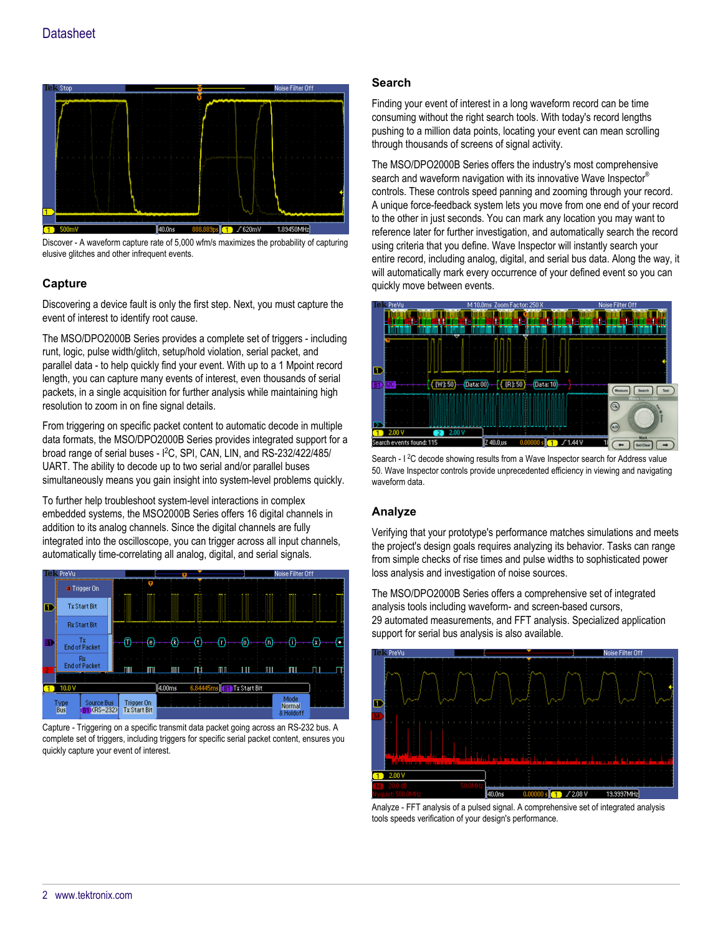

Discover - A waveform capture rate of 5,000 wfm/s maximizes the probability of capturing elusive glitches and other infrequent events.

## **Capture**

Discovering a device fault is only the first step. Next, you must capture the event of interest to identify root cause.

The MSO/DPO2000B Series provides a complete set of triggers - including runt, logic, pulse width/glitch, setup/hold violation, serial packet, and parallel data - to help quickly find your event. With up to a 1 Mpoint record length, you can capture many events of interest, even thousands of serial packets, in a single acquisition for further analysis while maintaining high resolution to zoom in on fine signal details.

From triggering on specific packet content to automatic decode in multiple data formats, the MSO/DPO2000B Series provides integrated support for a broad range of serial buses - I<sup>2</sup>C, SPI, CAN, LIN, and RS-232/422/485/ UART. The ability to decode up to two serial and/or parallel buses simultaneously means you gain insight into system-level problems quickly.

To further help troubleshoot system-level interactions in complex embedded systems, the MSO2000B Series offers 16 digital channels in addition to its analog channels. Since the digital channels are fully integrated into the oscilloscope, you can trigger across all input channels, automatically time-correlating all analog, digital, and serial signals.



Capture - Triggering on a specific transmit data packet going across an RS-232 bus. A complete set of triggers, including triggers for specific serial packet content, ensures you quickly capture your event of interest.

#### **Search**

Finding your event of interest in a long waveform record can be time consuming without the right search tools. With today's record lengths pushing to a million data points, locating your event can mean scrolling through thousands of screens of signal activity.

The MSO/DPO2000B Series offers the industry's most comprehensive search and waveform navigation with its innovative Wave Inspector<sup>®</sup> controls. These controls speed panning and zooming through your record. A unique force-feedback system lets you move from one end of your record to the other in just seconds. You can mark any location you may want to reference later for further investigation, and automatically search the record using criteria that you define. Wave Inspector will instantly search your entire record, including analog, digital, and serial bus data. Along the way, it will automatically mark every occurrence of your defined event so you can quickly move between events.



Search - I<sup>2</sup>C decode showing results from a Wave Inspector search for Address value 50. Wave Inspector controls provide unprecedented efficiency in viewing and navigating waveform data

#### **Analyze**

Verifying that your prototype's performance matches simulations and meets the project's design goals requires analyzing its behavior. Tasks can range from simple checks of rise times and pulse widths to sophisticated power loss analysis and investigation of noise sources.

The MSO/DPO2000B Series offers a comprehensive set of integrated analysis tools including waveform- and screen-based cursors, 29 automated measurements, and FFT analysis. Specialized application support for serial bus analysis is also available.



Analyze - FFT analysis of a pulsed signal. A comprehensive set of integrated analysis tools speeds verification of your design's performance.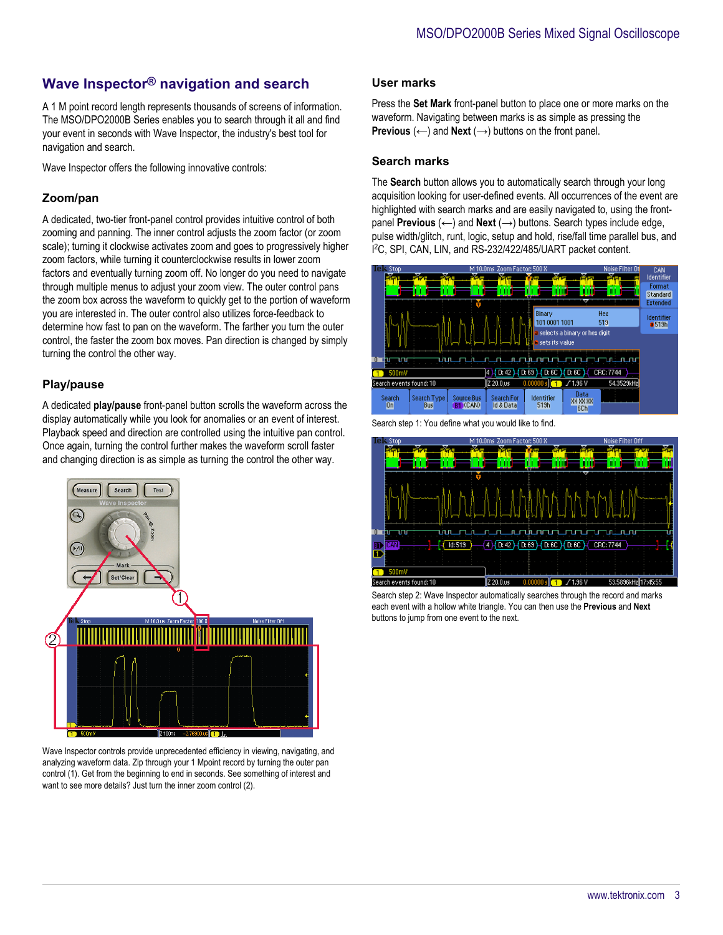## **Wave Inspector® navigation and search**

A 1 M point record length represents thousands of screens of information. The MSO/DPO2000B Series enables you to search through it all and find your event in seconds with Wave Inspector, the industry's best tool for navigation and search.

Wave Inspector offers the following innovative controls:

## **Zoom/pan**

A dedicated, two-tier front-panel control provides intuitive control of both zooming and panning. The inner control adjusts the zoom factor (or zoom scale); turning it clockwise activates zoom and goes to progressively higher zoom factors, while turning it counterclockwise results in lower zoom factors and eventually turning zoom off. No longer do you need to navigate through multiple menus to adjust your zoom view. The outer control pans the zoom box across the waveform to quickly get to the portion of waveform you are interested in. The outer control also utilizes force-feedback to determine how fast to pan on the waveform. The farther you turn the outer control, the faster the zoom box moves. Pan direction is changed by simply turning the control the other way.

#### **Play/pause**

A dedicated **play/pause** front-panel button scrolls the waveform across the display automatically while you look for anomalies or an event of interest. Playback speed and direction are controlled using the intuitive pan control. Once again, turning the control further makes the waveform scroll faster and changing direction is as simple as turning the control the other way.



Wave Inspector controls provide unprecedented efficiency in viewing, navigating, and analyzing waveform data. Zip through your 1 Mpoint record by turning the outer pan control (1). Get from the beginning to end in seconds. See something of interest and want to see more details? Just turn the inner zoom control (2).

#### **User marks**

Press the **Set Mark** front-panel button to place one or more marks on the waveform. Navigating between marks is as simple as pressing the **Previous**  $(\leftarrow)$  and **Next**  $(\rightarrow)$  buttons on the front panel.

#### **Search marks**

The **Search** button allows you to automatically search through your long acquisition looking for user-defined events. All occurrences of the event are highlighted with search marks and are easily navigated to, using the frontpanel **Previous** (←) and **Next** (→) buttons. Search types include edge, pulse width/glitch, runt, logic, setup and hold, rise/fall time parallel bus, and I <sup>2</sup>C, SPI, CAN, LIN, and RS-232/422/485/UART packet content.



Search step 1: You define what you would like to find.



Search step 2: Wave Inspector automatically searches through the record and marks each event with a hollow white triangle. You can then use the **Previous** and **Next** buttons to jump from one event to the next.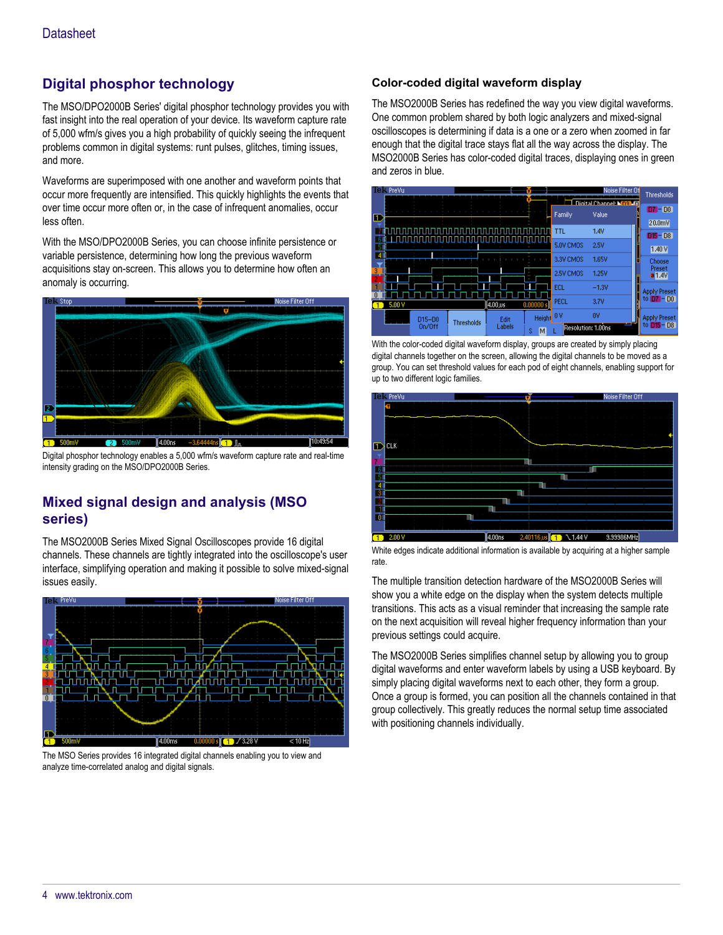## **Digital phosphor technology**

The MSO/DPO2000B Series' digital phosphor technology provides you with fast insight into the real operation of your device. Its waveform capture rate of 5,000 wfm/s gives you a high probability of quickly seeing the infrequent problems common in digital systems: runt pulses, glitches, timing issues, and more.

Waveforms are superimposed with one another and waveform points that occur more frequently are intensified. This quickly highlights the events that over time occur more often or, in the case of infrequent anomalies, occur less often.

With the MSO/DPO2000B Series, you can choose infinite persistence or variable persistence, determining how long the previous waveform acquisitions stay on-screen. This allows you to determine how often an anomaly is occurring.



Digital phosphor technology enables a 5,000 wfm/s waveform capture rate and real-time intensity grading on the MSO/DPO2000B Series.

## **Mixed signal design and analysis (MSO series)**

The MSO2000B Series Mixed Signal Oscilloscopes provide 16 digital channels. These channels are tightly integrated into the oscilloscope's user interface, simplifying operation and making it possible to solve mixed-signal issues easily.



The MSO Series provides 16 integrated digital channels enabling you to view and analyze time-correlated analog and digital signals.

### **Color-coded digital waveform display**

The MSO2000B Series has redefined the way you view digital waveforms. One common problem shared by both logic analyzers and mixed-signal oscilloscopes is determining if data is a one or a zero when zoomed in far enough that the digital trace stays flat all the way across the display. The MSO2000B Series has color-coded digital traces, displaying ones in green and zeros in blue.



With the color-coded digital waveform display, groups are created by simply placing digital channels together on the screen, allowing the digital channels to be moved as a group. You can set threshold values for each pod of eight channels, enabling support for up to two different logic families.



White edges indicate additional information is available by acquiring at a higher sample rate.

The multiple transition detection hardware of the MSO2000B Series will show you a white edge on the display when the system detects multiple transitions. This acts as a visual reminder that increasing the sample rate on the next acquisition will reveal higher frequency information than your previous settings could acquire.

The MSO2000B Series simplifies channel setup by allowing you to group digital waveforms and enter waveform labels by using a USB keyboard. By simply placing digital waveforms next to each other, they form a group. Once a group is formed, you can position all the channels contained in that group collectively. This greatly reduces the normal setup time associated with positioning channels individually.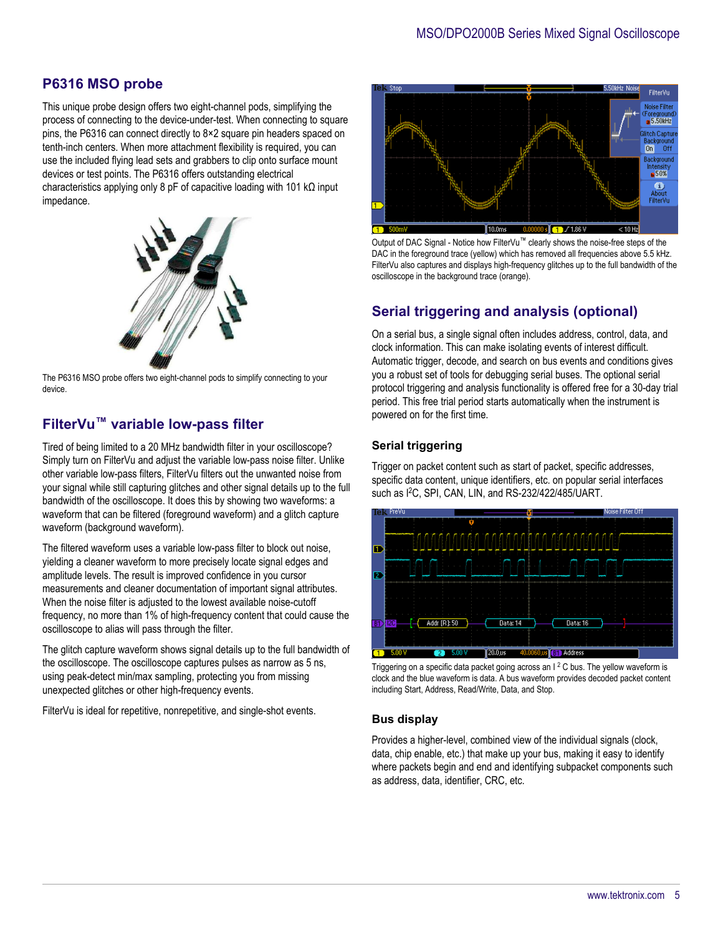## **P6316 MSO probe**

This unique probe design offers two eight-channel pods, simplifying the process of connecting to the device-under-test. When connecting to square pins, the P6316 can connect directly to 8×2 square pin headers spaced on tenth-inch centers. When more attachment flexibility is required, you can use the included flying lead sets and grabbers to clip onto surface mount devices or test points. The P6316 offers outstanding electrical characteristics applying only 8 pF of capacitive loading with 101 kΩ input impedance.



The P6316 MSO probe offers two eight-channel pods to simplify connecting to your device.

## **FilterVu™ variable low-pass filter**

Tired of being limited to a 20 MHz bandwidth filter in your oscilloscope? Simply turn on FilterVu and adjust the variable low-pass noise filter. Unlike other variable low-pass filters, FilterVu filters out the unwanted noise from your signal while still capturing glitches and other signal details up to the full bandwidth of the oscilloscope. It does this by showing two waveforms: a waveform that can be filtered (foreground waveform) and a glitch capture waveform (background waveform).

The filtered waveform uses a variable low-pass filter to block out noise, yielding a cleaner waveform to more precisely locate signal edges and amplitude levels. The result is improved confidence in you cursor measurements and cleaner documentation of important signal attributes. When the noise filter is adjusted to the lowest available noise-cutoff frequency, no more than 1% of high-frequency content that could cause the oscilloscope to alias will pass through the filter.

The glitch capture waveform shows signal details up to the full bandwidth of the oscilloscope. The oscilloscope captures pulses as narrow as 5 ns, using peak-detect min/max sampling, protecting you from missing unexpected glitches or other high-frequency events.

FilterVu is ideal for repetitive, nonrepetitive, and single-shot events.



Output of DAC Signal - Notice how FilterVu™ clearly shows the noise-free steps of the DAC in the foreground trace (yellow) which has removed all frequencies above 5.5 kHz. FilterVu also captures and displays high-frequency glitches up to the full bandwidth of the oscilloscope in the background trace (orange).

## **Serial triggering and analysis (optional)**

On a serial bus, a single signal often includes address, control, data, and clock information. This can make isolating events of interest difficult. Automatic trigger, decode, and search on bus events and conditions gives you a robust set of tools for debugging serial buses. The optional serial protocol triggering and analysis functionality is offered free for a 30-day trial period. This free trial period starts automatically when the instrument is powered on for the first time.

#### **Serial triggering**

Trigger on packet content such as start of packet, specific addresses, specific data content, unique identifiers, etc. on popular serial interfaces such as I<sup>2</sup>C, SPI, CAN, LIN, and RS-232/422/485/UART.



Triggering on a specific data packet going across an  $1<sup>2</sup>$ C bus. The yellow waveform is clock and the blue waveform is data. A bus waveform provides decoded packet content including Start, Address, Read/Write, Data, and Stop.

#### **Bus display**

Provides a higher-level, combined view of the individual signals (clock, data, chip enable, etc.) that make up your bus, making it easy to identify where packets begin and end and identifying subpacket components such as address, data, identifier, CRC, etc.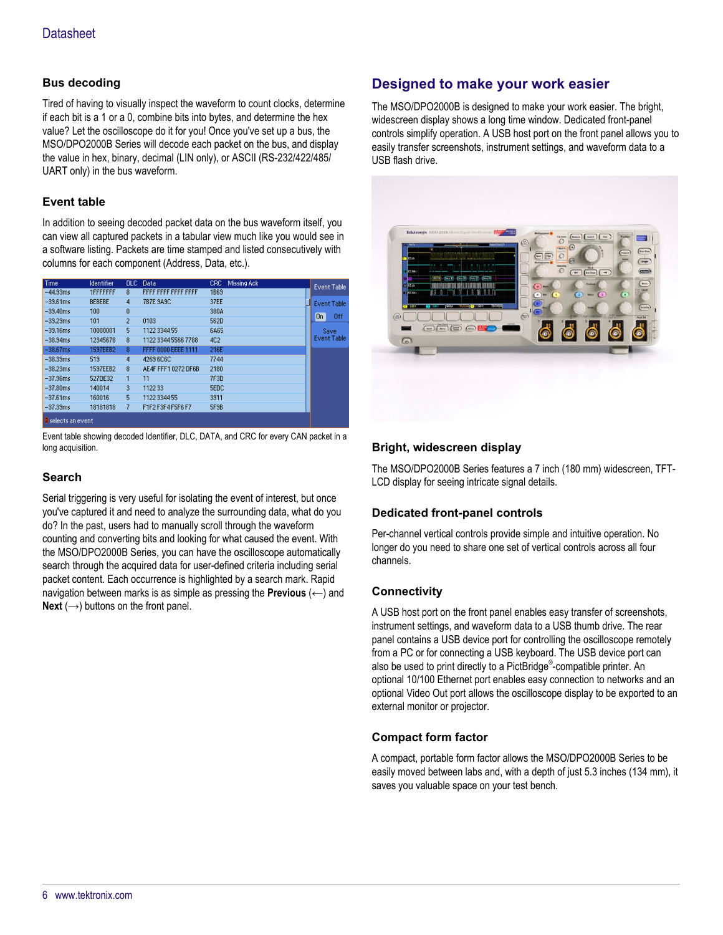### **Bus decoding**

Tired of having to visually inspect the waveform to count clocks, determine if each bit is a 1 or a 0, combine bits into bytes, and determine the hex value? Let the oscilloscope do it for you! Once you've set up a bus, the MSO/DPO2000B Series will decode each packet on the bus, and display the value in hex, binary, decimal (LIN only), or ASCII (RS-232/422/485/ UART only) in the bus waveform.

#### **Event table**

In addition to seeing decoded packet data on the bus waveform itself, you can view all captured packets in a tabular view much like you would see in a software listing. Packets are time stamped and listed consecutively with columns for each component (Address, Data, etc.).

| Time                      | <b>Identifier</b> | DLC. | Data                | Missing Ack<br>CRC. | Event Table        |
|---------------------------|-------------------|------|---------------------|---------------------|--------------------|
| $-44.93ms$                | <b>1FFFFFFFF</b>  | 8    | FFFF FFFF FFFF FFFF | 1869                |                    |
| $-39.61$ ms               | <b>BEBEBE</b>     | 4    | 7B7E 9A9C           | 37EE                | <b>Event Table</b> |
| $-39,40ms$                | 100               | 0    |                     | 380A                | On                 |
| $-39.29ms$                | 101               | 2    | 0103                | 562D                | 0ff                |
| $-39.16ms$                | 10000001          | 5    | 1122 3344 55        | 6A65                | Save               |
| $-38.94ms$                | 12345678          | 8    | 1122 3344 5566 7788 | 4C <sub>2</sub>     | <b>Event Table</b> |
| $-38.67$ ms               | 1597EEB2          | 8    | FFFF 0000 EEEE 1111 | 216E                |                    |
| $-38.33ms$                | 519               | 4    | 4269 6C6C           | 7744                |                    |
| $-38.23ms$                | 1597EEB2          | 8    | AE4F FFF1 0272 DF6B | 2180                |                    |
| $-37.96ms$                | 527DE32           |      | 11                  | 7F3D                |                    |
| $-37.80$ ms               | 140014            | 3.   | 1122 33             | <b>SEDC</b>         |                    |
| $-37.61$ ms               | 160016            | 5    | 1122 3344 55        | 3911                |                    |
| $-37.39ms$                | 18181818          |      | F1F2 F3F4 F5F6 F7   | 5F9B                |                    |
| <b>a</b> selects an event |                   |      |                     |                     |                    |

Event table showing decoded Identifier, DLC, DATA, and CRC for every CAN packet in a long acquisition.

#### **Search**

Serial triggering is very useful for isolating the event of interest, but once you've captured it and need to analyze the surrounding data, what do you do? In the past, users had to manually scroll through the waveform counting and converting bits and looking for what caused the event. With the MSO/DPO2000B Series, you can have the oscilloscope automatically search through the acquired data for user-defined criteria including serial packet content. Each occurrence is highlighted by a search mark. Rapid navigation between marks is as simple as pressing the **Previous** (←) and **Next**  $(\rightarrow)$  buttons on the front panel.

## **Designed to make your work easier**

The MSO/DPO2000B is designed to make your work easier. The bright, widescreen display shows a long time window. Dedicated front-panel controls simplify operation. A USB host port on the front panel allows you to easily transfer screenshots, instrument settings, and waveform data to a USB flash drive.



#### **Bright, widescreen display**

The MSO/DPO2000B Series features a 7 inch (180 mm) widescreen, TFT-LCD display for seeing intricate signal details.

#### **Dedicated front-panel controls**

Per-channel vertical controls provide simple and intuitive operation. No longer do you need to share one set of vertical controls across all four channels.

#### **Connectivity**

A USB host port on the front panel enables easy transfer of screenshots, instrument settings, and waveform data to a USB thumb drive. The rear panel contains a USB device port for controlling the oscilloscope remotely from a PC or for connecting a USB keyboard. The USB device port can also be used to print directly to a PictBridge® -compatible printer. An optional 10/100 Ethernet port enables easy connection to networks and an optional Video Out port allows the oscilloscope display to be exported to an external monitor or projector.

#### **Compact form factor**

A compact, portable form factor allows the MSO/DPO2000B Series to be easily moved between labs and, with a depth of just 5.3 inches (134 mm), it saves you valuable space on your test bench.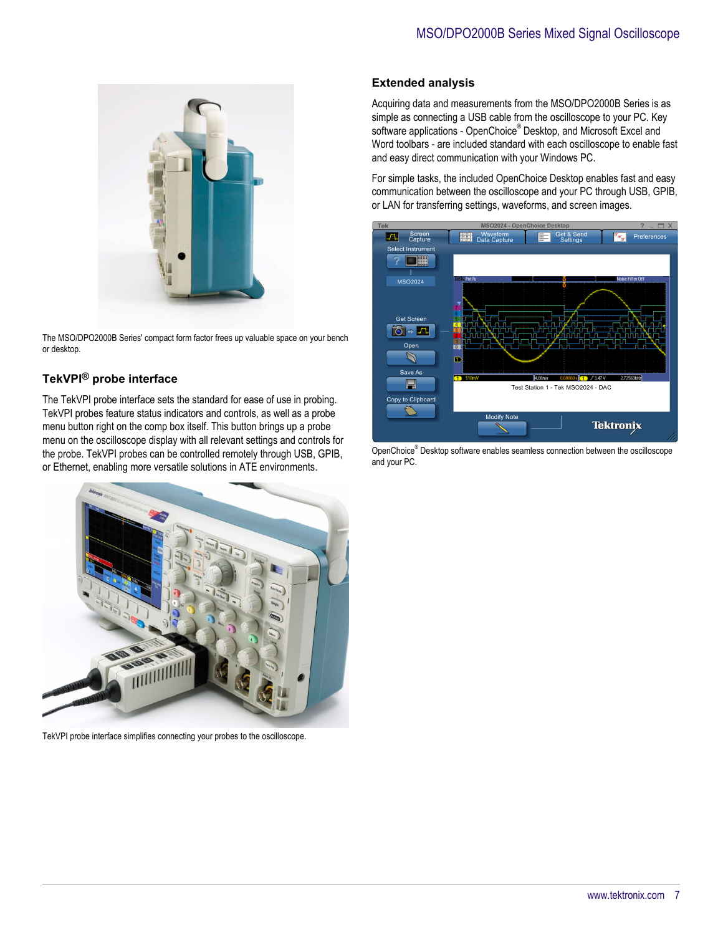

The MSO/DPO2000B Series' compact form factor frees up valuable space on your bench or desktop.

## **TekVPI® probe interface**

The TekVPI probe interface sets the standard for ease of use in probing. TekVPI probes feature status indicators and controls, as well as a probe menu button right on the comp box itself. This button brings up a probe menu on the oscilloscope display with all relevant settings and controls for the probe. TekVPI probes can be controlled remotely through USB, GPIB, or Ethernet, enabling more versatile solutions in ATE environments.



TekVPI probe interface simplifies connecting your probes to the oscilloscope.

#### **Extended analysis**

Acquiring data and measurements from the MSO/DPO2000B Series is as simple as connecting a USB cable from the oscilloscope to your PC. Key software applications - OpenChoice® Desktop, and Microsoft Excel and Word toolbars - are included standard with each oscilloscope to enable fast and easy direct communication with your Windows PC.

For simple tasks, the included OpenChoice Desktop enables fast and easy communication between the oscilloscope and your PC through USB, GPIB, or LAN for transferring settings, waveforms, and screen images.



OpenChoice® Desktop software enables seamless connection between the oscilloscope and your PC.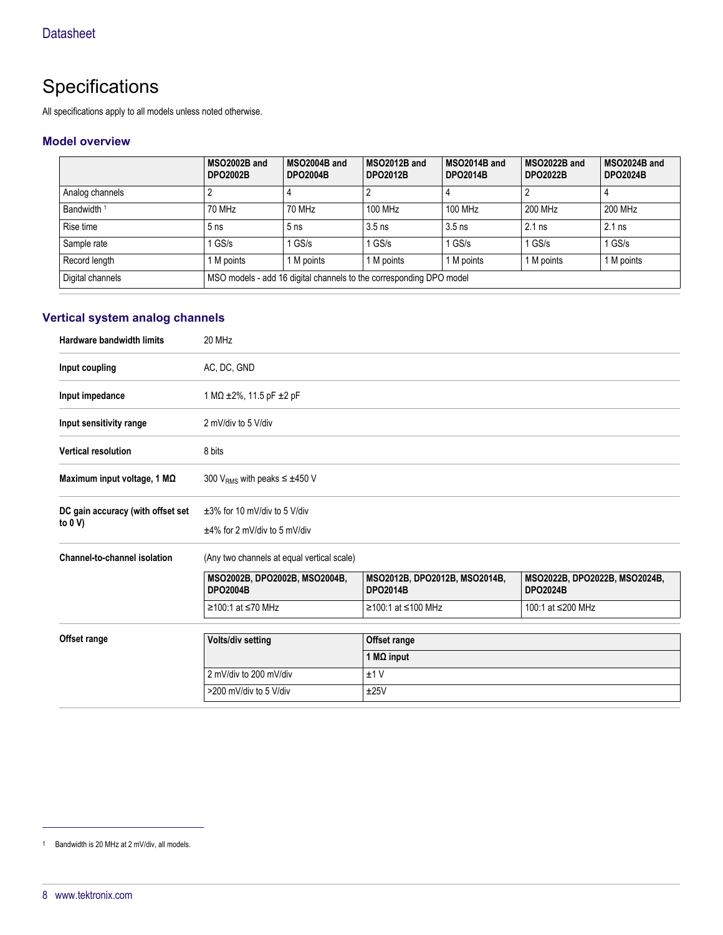## **Specifications**

All specifications apply to all models unless noted otherwise.

#### **Model overview**

|                        | MSO2002B and<br><b>DPO2002B</b> | MSO2004B and<br><b>DPO2004B</b>                                     | MSO2012B and<br><b>DPO2012B</b> | MSO2014B and<br><b>DPO2014B</b> | MSO2022B and<br><b>DPO2022B</b> | MSO2024B and<br><b>DPO2024B</b> |
|------------------------|---------------------------------|---------------------------------------------------------------------|---------------------------------|---------------------------------|---------------------------------|---------------------------------|
| Analog channels        |                                 |                                                                     |                                 |                                 |                                 | 4                               |
| Bandwidth <sup>1</sup> | 70 MHz                          | 70 MHz                                                              | 100 MHz                         | 100 MHz                         | 200 MHz                         | 200 MHz                         |
| Rise time              | 5 <sub>ns</sub>                 | 5 <sub>ns</sub>                                                     | $3.5$ ns                        | $3.5$ ns                        | $2.1$ ns                        | $2.1$ ns                        |
| Sample rate            | $1$ GS/s                        | $1$ GS/s                                                            | $1$ GS/s                        | $1$ GS/s                        | $1$ GS/s                        | $1$ GS/s                        |
| Record length          | 1 M points                      | 1 M points                                                          | 1 M points                      | 1 M points                      | 1 M points                      | 1 M points                      |
| Digital channels       |                                 | MSO models - add 16 digital channels to the corresponding DPO model |                                 |                                 |                                 |                                 |

## **Vertical system analog channels**

| Hardware bandwidth limits                       | 20 MHz                                                                |                                                  |                                                  |  |  |
|-------------------------------------------------|-----------------------------------------------------------------------|--------------------------------------------------|--------------------------------------------------|--|--|
| Input coupling                                  | AC, DC, GND                                                           |                                                  |                                                  |  |  |
| Input impedance                                 | 1 MΩ ±2%, 11.5 pF ±2 pF                                               |                                                  |                                                  |  |  |
| Input sensitivity range                         | 2 mV/div to 5 V/div                                                   |                                                  |                                                  |  |  |
| <b>Vertical resolution</b>                      | 8 bits                                                                |                                                  |                                                  |  |  |
| Maximum input voltage, 1 MΩ                     | 300 V <sub>RMS</sub> with peaks $\leq \pm 450$ V                      |                                                  |                                                  |  |  |
| DC gain accuracy (with offset set<br>to $0 V$ ) | $\pm 3\%$ for 10 mV/div to 5 V/div<br>$±4\%$ for 2 mV/div to 5 mV/div |                                                  |                                                  |  |  |
| Channel-to-channel isolation                    | (Any two channels at equal vertical scale)                            |                                                  |                                                  |  |  |
|                                                 | MSO2002B, DPO2002B, MSO2004B,<br><b>DPO2004B</b>                      | MSO2012B, DPO2012B, MSO2014B,<br><b>DPO2014B</b> | MSO2022B, DPO2022B, MSO2024B,<br><b>DPO2024B</b> |  |  |
|                                                 | ≥100:1 at ≤70 MHz                                                     | ≥100:1 at ≤100 MHz                               | 100:1 at ≤200 MHz                                |  |  |
| Offset range                                    | Volts/div setting<br>Offset range                                     |                                                  |                                                  |  |  |
|                                                 | 1 MΩ input                                                            |                                                  |                                                  |  |  |
|                                                 | 2 mV/div to 200 mV/div<br>±1V                                         |                                                  |                                                  |  |  |
|                                                 | >200 mV/div to 5 V/div                                                | ±25V                                             |                                                  |  |  |

<sup>1</sup> Bandwidth is 20 MHz at 2 mV/div, all models.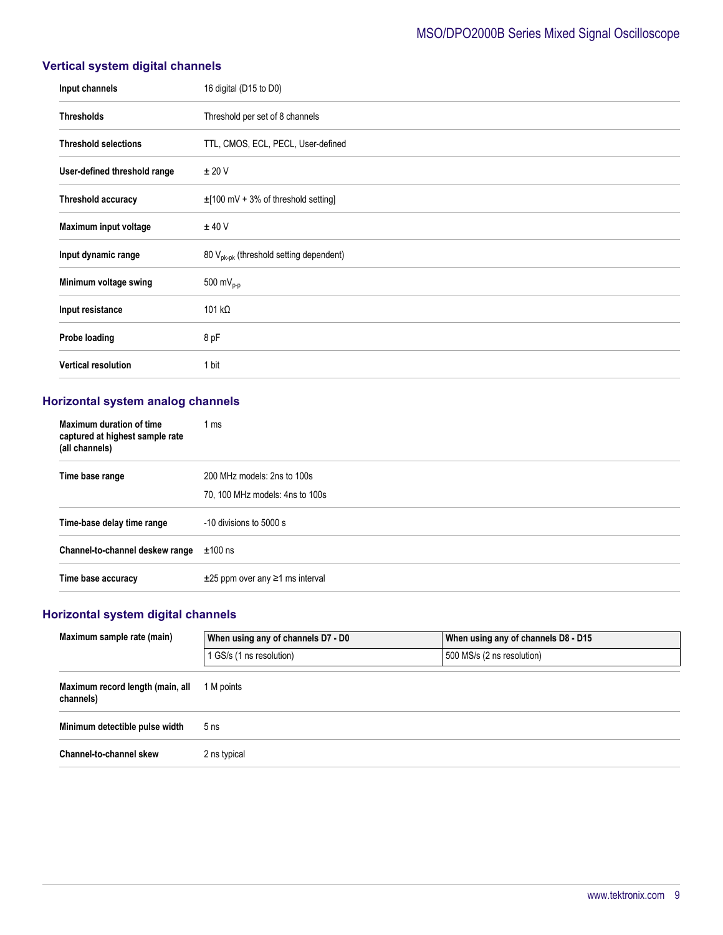## MSO/DPO2000B Series Mixed Signal Oscilloscope

## **Vertical system digital channels**

| Input channels               | 16 digital (D15 to D0)                              |
|------------------------------|-----------------------------------------------------|
| <b>Thresholds</b>            | Threshold per set of 8 channels                     |
| <b>Threshold selections</b>  | TTL, CMOS, ECL, PECL, User-defined                  |
| User-defined threshold range | ± 20 V                                              |
| Threshold accuracy           | $\pm$ [100 mV + 3% of threshold setting]            |
| Maximum input voltage        | $±$ 40 V                                            |
| Input dynamic range          | 80 V <sub>pk-pk</sub> (threshold setting dependent) |
| Minimum voltage swing        | 500 m $V_{p-p}$                                     |
| Input resistance             | 101 k $\Omega$                                      |
| Probe loading                | 8 pF                                                |
| <b>Vertical resolution</b>   | 1 bit                                               |

## **Horizontal system analog channels**

| Maximum duration of time<br>captured at highest sample rate<br>(all channels) | 1 ms                                                           |
|-------------------------------------------------------------------------------|----------------------------------------------------------------|
| Time base range                                                               | 200 MHz models: 2ns to 100s<br>70, 100 MHz models: 4ns to 100s |
| Time-base delay time range                                                    | -10 divisions to 5000 s                                        |
| Channel-to-channel deskew range                                               | $±100$ ns                                                      |
| Time base accuracy                                                            | $\pm 25$ ppm over any $\geq 1$ ms interval                     |

## **Horizontal system digital channels**

| Maximum sample rate (main)                    | When using any of channels D7 - D0 | When using any of channels D8 - D15 |  |
|-----------------------------------------------|------------------------------------|-------------------------------------|--|
|                                               | 1 GS/s (1 ns resolution)           | 500 MS/s (2 ns resolution)          |  |
| Maximum record length (main, all<br>channels) | 1 M points                         |                                     |  |
| Minimum detectible pulse width                | 5 <sub>ns</sub>                    |                                     |  |
| Channel-to-channel skew                       | 2 ns typical                       |                                     |  |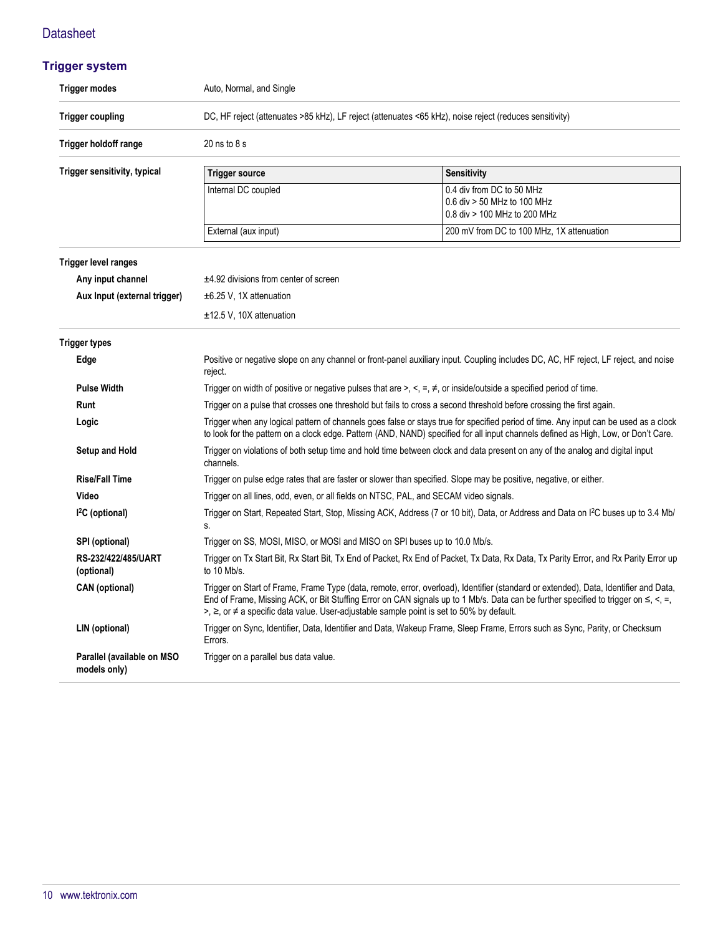## **Trigger system**

| <b>Trigger modes</b>                                                                                                                                                                                                                                                                                                                                                                                                | Auto, Normal, and Single                                                                                                                            |                                                                                                                                                                                                                                                                            |  |  |  |
|---------------------------------------------------------------------------------------------------------------------------------------------------------------------------------------------------------------------------------------------------------------------------------------------------------------------------------------------------------------------------------------------------------------------|-----------------------------------------------------------------------------------------------------------------------------------------------------|----------------------------------------------------------------------------------------------------------------------------------------------------------------------------------------------------------------------------------------------------------------------------|--|--|--|
| <b>Trigger coupling</b>                                                                                                                                                                                                                                                                                                                                                                                             | DC, HF reject (attenuates >85 kHz), LF reject (attenuates <65 kHz), noise reject (reduces sensitivity)                                              |                                                                                                                                                                                                                                                                            |  |  |  |
| Trigger holdoff range                                                                                                                                                                                                                                                                                                                                                                                               | $20$ ns to $8$ s                                                                                                                                    |                                                                                                                                                                                                                                                                            |  |  |  |
| Trigger sensitivity, typical                                                                                                                                                                                                                                                                                                                                                                                        | <b>Trigger source</b>                                                                                                                               | <b>Sensitivity</b>                                                                                                                                                                                                                                                         |  |  |  |
|                                                                                                                                                                                                                                                                                                                                                                                                                     | Internal DC coupled                                                                                                                                 | 0.4 div from DC to 50 MHz<br>0.6 div > 50 MHz to 100 MHz<br>0.8 div > 100 MHz to 200 MHz                                                                                                                                                                                   |  |  |  |
|                                                                                                                                                                                                                                                                                                                                                                                                                     | External (aux input)                                                                                                                                | 200 mV from DC to 100 MHz, 1X attenuation                                                                                                                                                                                                                                  |  |  |  |
| <b>Trigger level ranges</b>                                                                                                                                                                                                                                                                                                                                                                                         |                                                                                                                                                     |                                                                                                                                                                                                                                                                            |  |  |  |
| Any input channel                                                                                                                                                                                                                                                                                                                                                                                                   | $±4.92$ divisions from center of screen                                                                                                             |                                                                                                                                                                                                                                                                            |  |  |  |
| Aux Input (external trigger)                                                                                                                                                                                                                                                                                                                                                                                        | $\pm$ 6.25 V, 1X attenuation                                                                                                                        |                                                                                                                                                                                                                                                                            |  |  |  |
|                                                                                                                                                                                                                                                                                                                                                                                                                     | $±12.5$ V, 10X attenuation                                                                                                                          |                                                                                                                                                                                                                                                                            |  |  |  |
| <b>Trigger types</b>                                                                                                                                                                                                                                                                                                                                                                                                |                                                                                                                                                     |                                                                                                                                                                                                                                                                            |  |  |  |
| Edge                                                                                                                                                                                                                                                                                                                                                                                                                | reject.                                                                                                                                             | Positive or negative slope on any channel or front-panel auxiliary input. Coupling includes DC, AC, HF reject, LF reject, and noise                                                                                                                                        |  |  |  |
| <b>Pulse Width</b>                                                                                                                                                                                                                                                                                                                                                                                                  |                                                                                                                                                     | Trigger on width of positive or negative pulses that are $\geq, \leq, \neq, \infty$ or inside/outside a specified period of time.                                                                                                                                          |  |  |  |
| Trigger on a pulse that crosses one threshold but fails to cross a second threshold before crossing the first again.<br>Runt<br>Trigger when any logical pattern of channels goes false or stays true for specified period of time. Any input can be used as a clock<br>Logic<br>to look for the pattern on a clock edge. Pattern (AND, NAND) specified for all input channels defined as High, Low, or Don't Care. |                                                                                                                                                     |                                                                                                                                                                                                                                                                            |  |  |  |
|                                                                                                                                                                                                                                                                                                                                                                                                                     |                                                                                                                                                     |                                                                                                                                                                                                                                                                            |  |  |  |
| <b>Setup and Hold</b>                                                                                                                                                                                                                                                                                                                                                                                               | Trigger on violations of both setup time and hold time between clock and data present on any of the analog and digital input<br>channels.           |                                                                                                                                                                                                                                                                            |  |  |  |
| <b>Rise/Fall Time</b>                                                                                                                                                                                                                                                                                                                                                                                               |                                                                                                                                                     | Trigger on pulse edge rates that are faster or slower than specified. Slope may be positive, negative, or either.                                                                                                                                                          |  |  |  |
| Video                                                                                                                                                                                                                                                                                                                                                                                                               | Trigger on all lines, odd, even, or all fields on NTSC, PAL, and SECAM video signals.                                                               |                                                                                                                                                                                                                                                                            |  |  |  |
| $I2C$ (optional)                                                                                                                                                                                                                                                                                                                                                                                                    | Trigger on Start, Repeated Start, Stop, Missing ACK, Address (7 or 10 bit), Data, or Address and Data on I <sup>2</sup> C buses up to 3.4 Mb/<br>S. |                                                                                                                                                                                                                                                                            |  |  |  |
| SPI (optional)                                                                                                                                                                                                                                                                                                                                                                                                      | Trigger on SS, MOSI, MISO, or MOSI and MISO on SPI buses up to 10.0 Mb/s.                                                                           |                                                                                                                                                                                                                                                                            |  |  |  |
| RS-232/422/485/UART<br>(optional)                                                                                                                                                                                                                                                                                                                                                                                   | to 10 Mb/s.                                                                                                                                         | Trigger on Tx Start Bit, Rx Start Bit, Tx End of Packet, Rx End of Packet, Tx Data, Rx Data, Tx Parity Error, and Rx Parity Error up                                                                                                                                       |  |  |  |
| <b>CAN</b> (optional)                                                                                                                                                                                                                                                                                                                                                                                               | >, $\ge$ , or $\neq$ a specific data value. User-adjustable sample point is set to 50% by default.                                                  | Trigger on Start of Frame, Frame Type (data, remote, error, overload), Identifier (standard or extended), Data, Identifier and Data,<br>End of Frame, Missing ACK, or Bit Stuffing Error on CAN signals up to 1 Mb/s. Data can be further specified to trigger on ≤, <, =, |  |  |  |
| LIN (optional)                                                                                                                                                                                                                                                                                                                                                                                                      | Errors.                                                                                                                                             | Trigger on Sync, Identifier, Data, Identifier and Data, Wakeup Frame, Sleep Frame, Errors such as Sync, Parity, or Checksum                                                                                                                                                |  |  |  |
| Parallel (available on MSO<br>models only)                                                                                                                                                                                                                                                                                                                                                                          | Trigger on a parallel bus data value.                                                                                                               |                                                                                                                                                                                                                                                                            |  |  |  |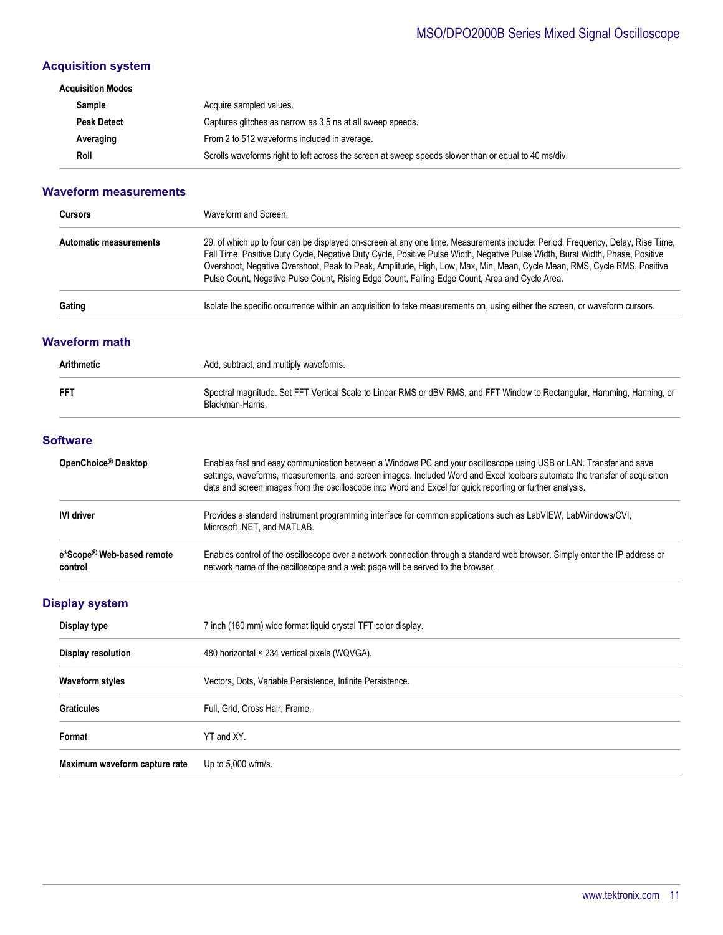## MSO/DPO2000B Series Mixed Signal Oscilloscope

## **Acquisition system**

| Acquisition Modes  |                                                                                                      |
|--------------------|------------------------------------------------------------------------------------------------------|
| Sample             | Acquire sampled values.                                                                              |
| <b>Peak Detect</b> | Captures glitches as narrow as 3.5 ns at all sweep speeds.                                           |
| Averaging          | From 2 to 512 waveforms included in average.                                                         |
| Roll               | Scrolls waveforms right to left across the screen at sweep speeds slower than or equal to 40 ms/div. |

#### **Waveform measurements**

| <b>Cursors</b>                | Waveform and Screen.                                                                                                                                                                                                                                                                                                                                                                                                                                                                         |
|-------------------------------|----------------------------------------------------------------------------------------------------------------------------------------------------------------------------------------------------------------------------------------------------------------------------------------------------------------------------------------------------------------------------------------------------------------------------------------------------------------------------------------------|
| <b>Automatic measurements</b> | 29, of which up to four can be displayed on-screen at any one time. Measurements include: Period, Frequency, Delay, Rise Time,<br>Fall Time, Positive Duty Cycle, Negative Duty Cycle, Positive Pulse Width, Negative Pulse Width, Burst Width, Phase, Positive<br>Overshoot, Negative Overshoot, Peak to Peak, Amplitude, High, Low, Max, Min, Mean, Cycle Mean, RMS, Cycle RMS, Positive<br>Pulse Count, Negative Pulse Count, Rising Edge Count, Falling Edge Count, Area and Cycle Area. |
| Gating                        | Isolate the specific occurrence within an acquisition to take measurements on, using either the screen, or waveform cursors.                                                                                                                                                                                                                                                                                                                                                                 |

#### **Waveform math**

| <b>Arithmetic</b><br><b>FFT</b> |                                      | Add, subtract, and multiply waveforms.                                                                                                                                                                                                                                                                                                                         |  |  |  |  |
|---------------------------------|--------------------------------------|----------------------------------------------------------------------------------------------------------------------------------------------------------------------------------------------------------------------------------------------------------------------------------------------------------------------------------------------------------------|--|--|--|--|
|                                 |                                      | Spectral magnitude. Set FFT Vertical Scale to Linear RMS or dBV RMS, and FFT Window to Rectangular, Hamming, Hanning, or<br>Blackman-Harris.                                                                                                                                                                                                                   |  |  |  |  |
|                                 | <b>Software</b>                      |                                                                                                                                                                                                                                                                                                                                                                |  |  |  |  |
|                                 | OpenChoice <sup>®</sup> Desktop      | Enables fast and easy communication between a Windows PC and your oscilloscope using USB or LAN. Transfer and save<br>settings, waveforms, measurements, and screen images. Included Word and Excel toolbars automate the transfer of acquisition<br>data and screen images from the oscilloscope into Word and Excel for quick reporting or further analysis. |  |  |  |  |
|                                 | <b>IVI driver</b>                    | Provides a standard instrument programming interface for common applications such as LabVIEW, LabWindows/CVI,<br>Microsoft .NET. and MATLAB.                                                                                                                                                                                                                   |  |  |  |  |
|                                 | e*Scope® Web-based remote<br>control | Enables control of the oscilloscope over a network connection through a standard web browser. Simply enter the IP address or<br>network name of the oscilloscope and a web page will be served to the browser.                                                                                                                                                 |  |  |  |  |

## **Display system**

| Display type                  | 7 inch (180 mm) wide format liquid crystal TFT color display. |
|-------------------------------|---------------------------------------------------------------|
| Display resolution            | 480 horizontal × 234 vertical pixels (WQVGA).                 |
| <b>Waveform styles</b>        | Vectors, Dots, Variable Persistence, Infinite Persistence.    |
| <b>Graticules</b>             | Full, Grid, Cross Hair, Frame.                                |
| Format                        | YT and XY.                                                    |
| Maximum waveform capture rate | Up to 5,000 wfm/s.                                            |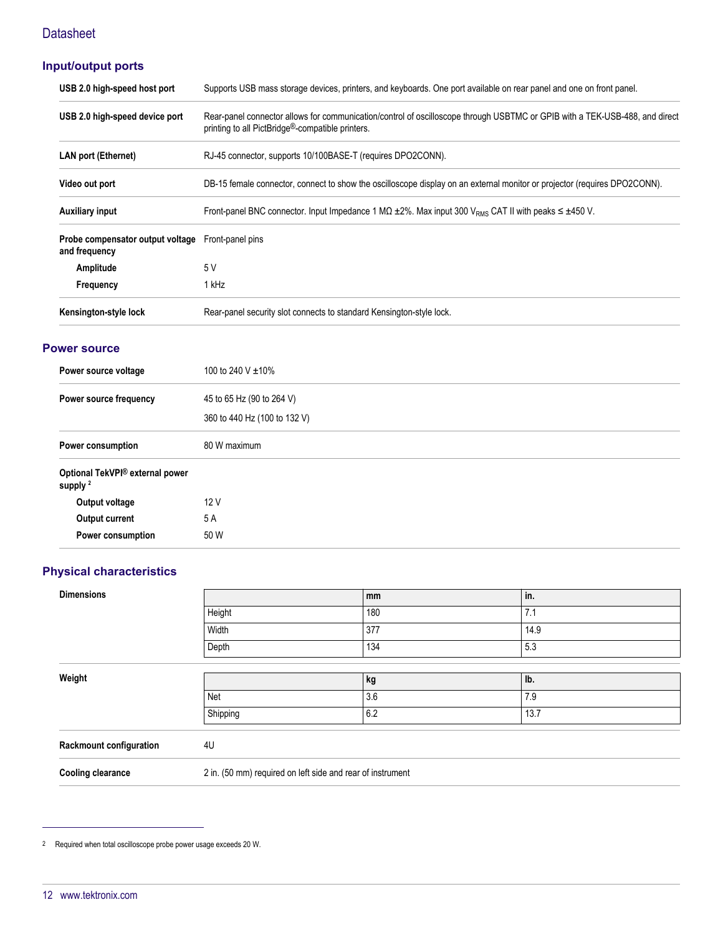## **Input/output ports**

| USB 2.0 high-speed host port                                       | Supports USB mass storage devices, printers, and keyboards. One port available on rear panel and one on front panel.                                                                         |
|--------------------------------------------------------------------|----------------------------------------------------------------------------------------------------------------------------------------------------------------------------------------------|
| USB 2.0 high-speed device port                                     | Rear-panel connector allows for communication/control of oscilloscope through USBTMC or GPIB with a TEK-USB-488, and direct<br>printing to all PictBridge <sup>®</sup> -compatible printers. |
| <b>LAN port (Ethernet)</b>                                         | RJ-45 connector, supports 10/100BASE-T (requires DPO2CONN).                                                                                                                                  |
| Video out port                                                     | DB-15 female connector, connect to show the oscilloscope display on an external monitor or projector (requires DPO2CONN).                                                                    |
| <b>Auxiliary input</b>                                             | Front-panel BNC connector. Input Impedance 1 M $\Omega$ ±2%. Max input 300 V <sub>RMS</sub> CAT II with peaks $\leq \pm 450$ V.                                                              |
| Probe compensator output voltage Front-panel pins<br>and frequency |                                                                                                                                                                                              |
| Amplitude                                                          | 5 V                                                                                                                                                                                          |
| Frequency                                                          | 1 kHz                                                                                                                                                                                        |
| Kensington-style lock                                              | Rear-panel security slot connects to standard Kensington-style lock.                                                                                                                         |

## **Power source**

| Power source voltage                                   | 100 to 240 V ±10%            |
|--------------------------------------------------------|------------------------------|
| Power source frequency                                 | 45 to 65 Hz (90 to 264 V)    |
|                                                        | 360 to 440 Hz (100 to 132 V) |
| <b>Power consumption</b>                               | 80 W maximum                 |
| Optional TekVPI® external power<br>supply <sup>2</sup> |                              |
| Output voltage                                         | 12 V                         |
| Output current                                         | 5A                           |
| Power consumption                                      | 50 W                         |

## **Physical characteristics**

| <b>Dimensions</b>              |          | mm                                                         | in.  |  |
|--------------------------------|----------|------------------------------------------------------------|------|--|
|                                | Height   | 180                                                        | 7.1  |  |
|                                | Width    | 377                                                        | 14.9 |  |
|                                | Depth    | 134                                                        | 5.3  |  |
|                                |          |                                                            |      |  |
| Weight                         |          | kg                                                         | lb.  |  |
|                                | Net      | 3.6                                                        | 7.9  |  |
|                                | Shipping | 6.2                                                        | 13.7 |  |
| <b>Rackmount configuration</b> | 4U       |                                                            |      |  |
| <b>Cooling clearance</b>       |          | 2 in. (50 mm) required on left side and rear of instrument |      |  |

2 Required when total oscilloscope probe power usage exceeds 20 W.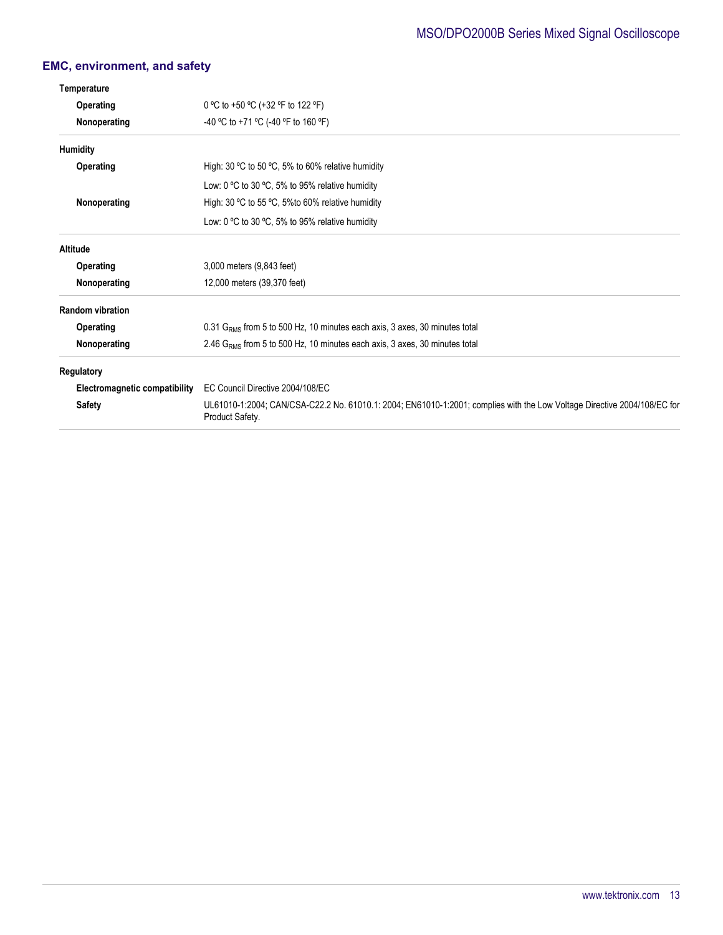## **EMC, environment, and safety**

| Temperature                   |                                                                                                                                             |  |  |
|-------------------------------|---------------------------------------------------------------------------------------------------------------------------------------------|--|--|
| <b>Operating</b>              | 0 °C to +50 °C (+32 °F to 122 °F)                                                                                                           |  |  |
| Nonoperating                  | -40 °C to +71 °C (-40 °F to 160 °F)                                                                                                         |  |  |
| Humidity                      |                                                                                                                                             |  |  |
| Operating                     | High: 30 $\degree$ C to 50 $\degree$ C, 5% to 60% relative humidity                                                                         |  |  |
|                               | Low: 0 °C to 30 °C, 5% to 95% relative humidity                                                                                             |  |  |
| Nonoperating                  | High: 30 °C to 55 °C, 5% to 60% relative humidity                                                                                           |  |  |
|                               | Low: 0 °C to 30 °C, 5% to 95% relative humidity                                                                                             |  |  |
| Altitude                      |                                                                                                                                             |  |  |
| Operating                     | 3,000 meters (9,843 feet)                                                                                                                   |  |  |
| Nonoperating                  | 12,000 meters (39,370 feet)                                                                                                                 |  |  |
| <b>Random vibration</b>       |                                                                                                                                             |  |  |
| Operating                     | 0.31 G <sub>RMS</sub> from 5 to 500 Hz, 10 minutes each axis, 3 axes, 30 minutes total                                                      |  |  |
| Nonoperating                  | 2.46 G <sub>RMS</sub> from 5 to 500 Hz, 10 minutes each axis, 3 axes, 30 minutes total                                                      |  |  |
| <b>Regulatory</b>             |                                                                                                                                             |  |  |
| Electromagnetic compatibility | EC Council Directive 2004/108/EC                                                                                                            |  |  |
| <b>Safety</b>                 | UL61010-1:2004; CAN/CSA-C22.2 No. 61010.1: 2004; EN61010-1:2001; complies with the Low Voltage Directive 2004/108/EC for<br>Product Safety. |  |  |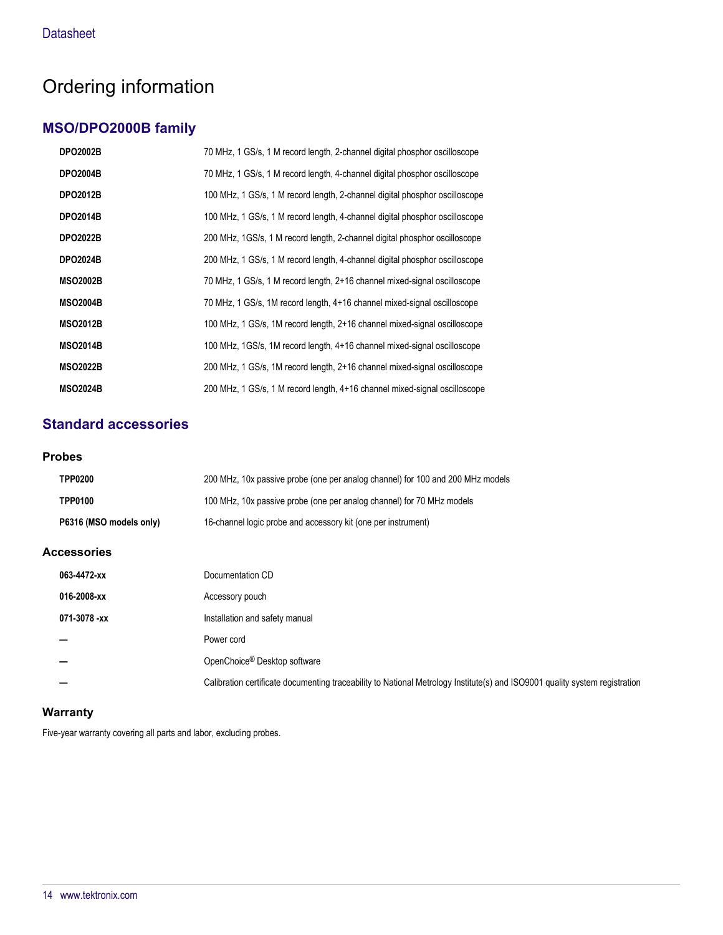## Ordering information

## **MSO/DPO2000B family**

| <b>DPO2002B</b> | 70 MHz, 1 GS/s, 1 M record length, 2-channel digital phosphor oscilloscope  |
|-----------------|-----------------------------------------------------------------------------|
| <b>DPO2004B</b> | 70 MHz, 1 GS/s, 1 M record length, 4-channel digital phosphor oscilloscope  |
| <b>DPO2012B</b> | 100 MHz, 1 GS/s, 1 M record length, 2-channel digital phosphor oscilloscope |
| <b>DPO2014B</b> | 100 MHz, 1 GS/s, 1 M record length, 4-channel digital phosphor oscilloscope |
| <b>DPO2022B</b> | 200 MHz, 1GS/s, 1 M record length, 2-channel digital phosphor oscilloscope  |
| <b>DPO2024B</b> | 200 MHz, 1 GS/s, 1 M record length, 4-channel digital phosphor oscilloscope |
| <b>MSO2002B</b> | 70 MHz, 1 GS/s, 1 M record length, 2+16 channel mixed-signal oscilloscope   |
| <b>MSO2004B</b> | 70 MHz, 1 GS/s, 1M record length, 4+16 channel mixed-signal oscilloscope    |
| <b>MSO2012B</b> | 100 MHz, 1 GS/s, 1M record length, 2+16 channel mixed-signal oscilloscope   |
| <b>MSO2014B</b> | 100 MHz, 1GS/s, 1M record length, 4+16 channel mixed-signal oscilloscope    |
| <b>MSO2022B</b> | 200 MHz, 1 GS/s, 1M record length, 2+16 channel mixed-signal oscilloscope   |
| <b>MSO2024B</b> | 200 MHz, 1 GS/s, 1 M record length, 4+16 channel mixed-signal oscilloscope  |

## **Standard accessories**

#### **Probes**

| <b>TPP0200</b>          | 200 MHz, 10x passive probe (one per analog channel) for 100 and 200 MHz models |
|-------------------------|--------------------------------------------------------------------------------|
| <b>TPP0100</b>          | 100 MHz, 10x passive probe (one per analog channel) for 70 MHz models          |
| P6316 (MSO models only) | 16-channel logic probe and accessory kit (one per instrument)                  |

### **Accessories**

| 063-4472-xx  | Documentation CD                                                                                                            |
|--------------|-----------------------------------------------------------------------------------------------------------------------------|
| 016-2008-xx  | Accessory pouch                                                                                                             |
| 071-3078 -xx | Installation and safety manual                                                                                              |
|              | Power cord                                                                                                                  |
|              | OpenChoice <sup>®</sup> Desktop software                                                                                    |
|              | Calibration certificate documenting traceability to National Metrology Institute(s) and ISO9001 quality system registration |

### **Warranty**

Five-year warranty covering all parts and labor, excluding probes.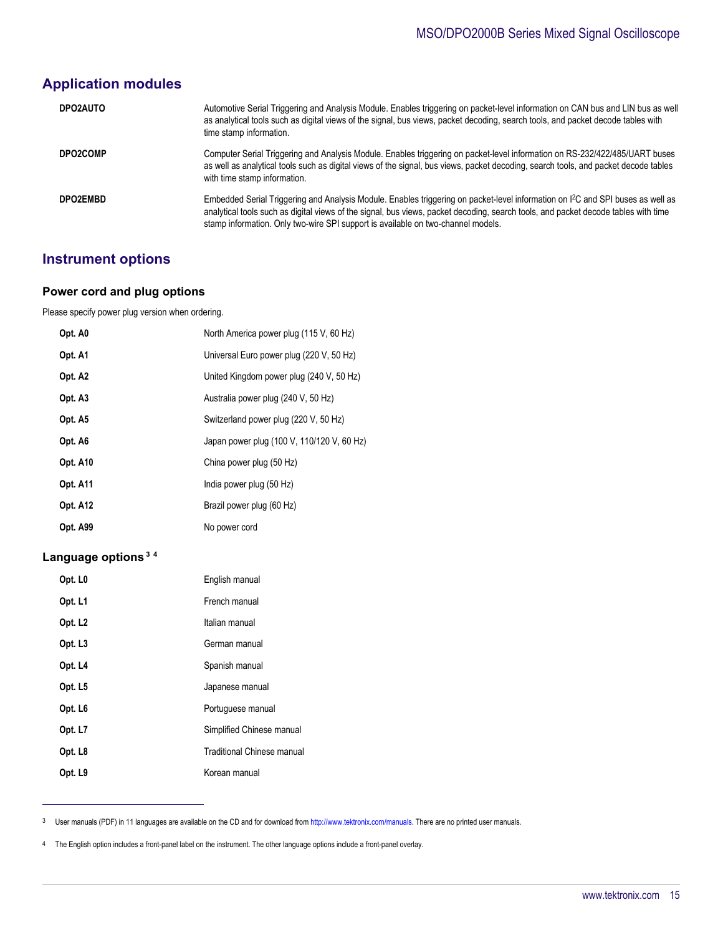## **Application modules**

| DPO2AUTO        | Automotive Serial Triggering and Analysis Module. Enables triggering on packet-level information on CAN bus and LIN bus as well<br>as analytical tools such as digital views of the signal, bus views, packet decoding, search tools, and packet decode tables with<br>time stamp information.                                                                        |
|-----------------|-----------------------------------------------------------------------------------------------------------------------------------------------------------------------------------------------------------------------------------------------------------------------------------------------------------------------------------------------------------------------|
| <b>DPO2COMP</b> | Computer Serial Triggering and Analysis Module. Enables triggering on packet-level information on RS-232/422/485/UART buses<br>as well as analytical tools such as digital views of the signal, bus views, packet decoding, search tools, and packet decode tables<br>with time stamp information.                                                                    |
| DPO2EMBD        | Embedded Serial Triggering and Analysis Module. Enables triggering on packet-level information on I <sup>2</sup> C and SPI buses as well as<br>analytical tools such as digital views of the signal, bus views, packet decoding, search tools, and packet decode tables with time<br>stamp information. Only two-wire SPI support is available on two-channel models. |

## **Instrument options**

#### **Power cord and plug options**

Please specify power plug version when ordering.

| Opt. A0         | North America power plug (115 V, 60 Hz)    |
|-----------------|--------------------------------------------|
| Opt. A1         | Universal Euro power plug (220 V, 50 Hz)   |
| Opt. A2         | United Kingdom power plug (240 V, 50 Hz)   |
| Opt. A3         | Australia power plug (240 V, 50 Hz)        |
| Opt. A5         | Switzerland power plug (220 V, 50 Hz)      |
| Opt. A6         | Japan power plug (100 V, 110/120 V, 60 Hz) |
| Opt. A10        | China power plug (50 Hz)                   |
| <b>Opt. A11</b> | India power plug (50 Hz)                   |
| <b>Opt. A12</b> | Brazil power plug (60 Hz)                  |
| <b>Opt. A99</b> | No power cord                              |

## **Language options<sup>3</sup> <sup>4</sup>**

| English manual                    |
|-----------------------------------|
| French manual                     |
| Italian manual                    |
| German manual                     |
| Spanish manual                    |
| Japanese manual                   |
| Portuguese manual                 |
| Simplified Chinese manual         |
| <b>Traditional Chinese manual</b> |
| Korean manual                     |
|                                   |

<sup>3</sup> User manuals (PDF) in 11 languages are available on the CD and for download from [http://www.tektronix.com/manuals.](http://www.tektronix.com/manuals) There are no printed user manuals.

4 The English option includes a front-panel label on the instrument. The other language options include a front-panel overlay.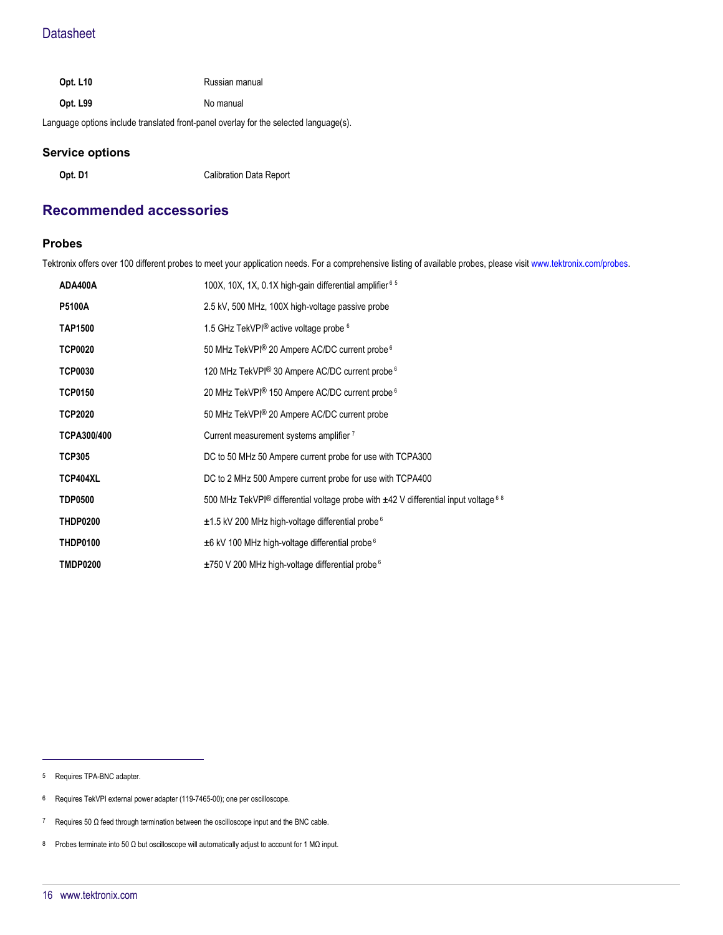| <b>Opt. L10</b> | Russian manual |
|-----------------|----------------|
|                 |                |

**Opt. L99** No manual

Language options include translated front-panel overlay for the selected language(s).

#### **Service options**

**Opt. D1** Calibration Data Report

## **Recommended accessories**

#### **Probes**

Tektronix offers over 100 different probes to meet your application needs. For a comprehensive listing of available probes, please visit [www.tektronix.com/probes.](http://www.tektronix.com/probes)

| ADA400A         | 100X, 10X, 1X, 0.1X high-gain differential amplifier $65$                                 |
|-----------------|-------------------------------------------------------------------------------------------|
| <b>P5100A</b>   | 2.5 kV, 500 MHz, 100X high-voltage passive probe                                          |
| <b>TAP1500</b>  | 1.5 GHz TekVPI <sup>®</sup> active voltage probe <sup>6</sup>                             |
| <b>TCP0020</b>  | 50 MHz TekVPI® 20 Ampere AC/DC current probe <sup>6</sup>                                 |
| <b>TCP0030</b>  | 120 MHz TekVPI® 30 Ampere AC/DC current probe <sup>6</sup>                                |
| <b>TCP0150</b>  | 20 MHz TekVPI® 150 Ampere AC/DC current probe <sup>6</sup>                                |
| <b>TCP2020</b>  | 50 MHz TekVPI® 20 Ampere AC/DC current probe                                              |
| TCPA300/400     | Current measurement systems amplifier 7                                                   |
| TCP305          | DC to 50 MHz 50 Ampere current probe for use with TCPA300                                 |
| TCP404XL        | DC to 2 MHz 500 Ampere current probe for use with TCPA400                                 |
| <b>TDP0500</b>  | 500 MHz TekVPI® differential voltage probe with $\pm$ 42 V differential input voltage 6 8 |
| <b>THDP0200</b> | $\pm$ 1.5 kV 200 MHz high-voltage differential probe $6$                                  |
| <b>THDP0100</b> | $\pm$ 6 kV 100 MHz high-voltage differential probe $6$                                    |
| TMDP0200        | $\pm$ 750 V 200 MHz high-voltage differential probe $6$                                   |

5 Requires TPA-BNC adapter.

- 6 Requires TekVPI external power adapter (119-7465-00); one per oscilloscope.
- 7 Requires 50 Ω feed through termination between the oscilloscope input and the BNC cable.
- 8 Probes terminate into 50 Ω but oscilloscope will automatically adjust to account for 1 MΩ input.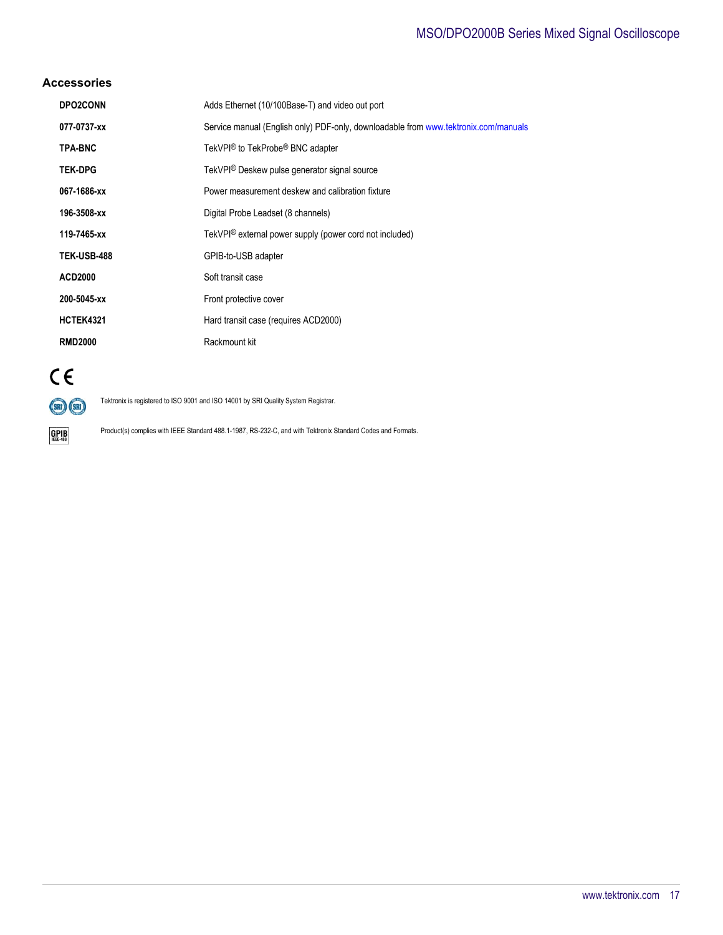## MSO/DPO2000B Series Mixed Signal Oscilloscope

#### **Accessories**

| <b>DPO2CONN</b>    | Adds Ethernet (10/100Base-T) and video out port                                     |
|--------------------|-------------------------------------------------------------------------------------|
| 077-0737-xx        | Service manual (English only) PDF-only, downloadable from www.tektronix.com/manuals |
| <b>TPA-BNC</b>     | TekVPI® to TekProbe® BNC adapter                                                    |
| <b>TEK-DPG</b>     | TekVPI <sup>®</sup> Deskew pulse generator signal source                            |
| 067-1686-xx        | Power measurement deskew and calibration fixture                                    |
| 196-3508-xx        | Digital Probe Leadset (8 channels)                                                  |
| 119-7465-xx        | TekVPI® external power supply (power cord not included)                             |
| <b>TEK-USB-488</b> | GPIB-to-USB adapter                                                                 |
| <b>ACD2000</b>     | Soft transit case                                                                   |
| 200-5045-xx        | Front protective cover                                                              |
| <b>HCTEK4321</b>   | Hard transit case (requires ACD2000)                                                |
| <b>RMD2000</b>     | Rackmount kit                                                                       |



 $\underset{\text{IEEE-488}}{\text{GPIB}}$ 

Tektronix is registered to ISO 9001 and ISO 14001 by SRI Quality System Registrar.

Product(s) complies with IEEE Standard 488.1-1987, RS-232-C, and with Tektronix Standard Codes and Formats.